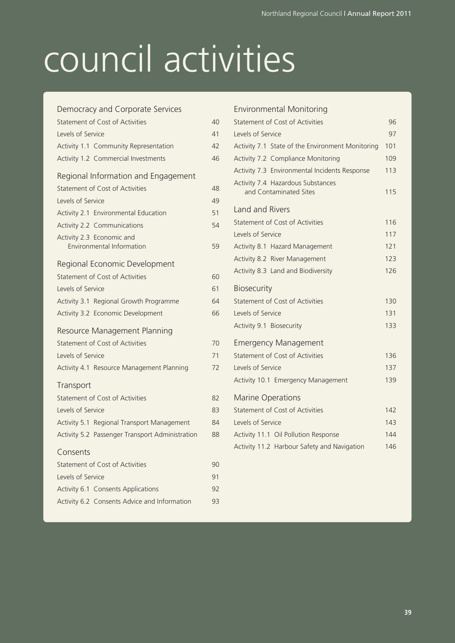# council activities

| Democracy and Corporate Services                |    |
|-------------------------------------------------|----|
| <b>Statement of Cost of Activities</b>          | 40 |
| Levels of Service                               | 41 |
| Activity 1.1 Community Representation           | 42 |
| Activity 1.2 Commercial Investments             | 46 |
| Regional Information and Engagement             |    |
| <b>Statement of Cost of Activities</b>          | 48 |
| Levels of Service                               | 49 |
| Activity 2.1 Environmental Education            | 51 |
| Activity 2.2 Communications                     | 54 |
| Activity 2.3 Economic and                       |    |
| Environmental Information                       | 59 |
| Regional Economic Development                   |    |
| Statement of Cost of Activities                 | 60 |
| Levels of Service                               | 61 |
| Activity 3.1 Regional Growth Programme          | 64 |
| Activity 3.2 Economic Development               | 66 |
| Resource Management Planning                    |    |
| Statement of Cost of Activities                 | 70 |
| Levels of Service                               | 71 |
| Activity 4.1 Resource Management Planning       | 72 |
| Transport                                       |    |
| Statement of Cost of Activities                 | 82 |
| Levels of Service                               | 83 |
| Activity 5.1 Regional Transport Management      | 84 |
| Activity 5.2 Passenger Transport Administration | 88 |
| Consents                                        |    |
| Statement of Cost of Activities                 | 90 |
| Levels of Service                               | 91 |
| Activity 6.1 Consents Applications              | 92 |
| Activity 6.2 Consents Advice and Information    | 93 |

| <b>Environmental Monitoring</b>                             |     |
|-------------------------------------------------------------|-----|
| Statement of Cost of Activities                             | 96  |
| Levels of Service                                           | 97  |
| Activity 7.1 State of the Environment Monitoring            | 101 |
| Activity 7.2 Compliance Monitoring                          | 109 |
| Activity 7.3 Environmental Incidents Response               | 113 |
| Activity 7.4 Hazardous Substances<br>and Contaminated Sites | 115 |
| <b>Land and Rivers</b>                                      |     |
| Statement of Cost of Activities                             | 116 |
| Levels of Service                                           | 117 |
| Activity 8.1 Hazard Management                              | 121 |
| Activity 8.2 River Management                               | 123 |
| Activity 8.3 Land and Biodiversity                          | 126 |
| <b>Biosecurity</b>                                          |     |
| Statement of Cost of Activities                             | 130 |
| Levels of Service                                           | 131 |
| Activity 9.1 Biosecurity                                    | 133 |
| <b>Emergency Management</b>                                 |     |
| Statement of Cost of Activities                             | 136 |
| Levels of Service                                           | 137 |
| Activity 10.1 Emergency Management                          | 139 |
| <b>Marine Operations</b>                                    |     |
| Statement of Cost of Activities                             | 142 |
| Levels of Service                                           | 143 |
| Activity 11.1 Oil Pollution Response                        | 144 |
| Activity 11.2 Harbour Safety and Navigation                 | 146 |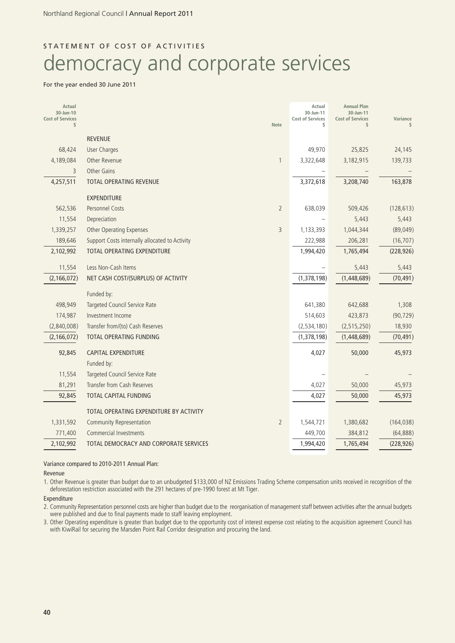## STATEMENT OF COST OF ACTIVITIES

# democracy and corporate services

#### For the year ended 30 June 2011

| Actual<br>30-Jun-10           |                                                |                | Actual<br>30-Jun-11           | <b>Annual Plan</b><br>30-Jun-11 |            |
|-------------------------------|------------------------------------------------|----------------|-------------------------------|---------------------------------|------------|
| <b>Cost of Services</b><br>\$ |                                                | <b>Note</b>    | <b>Cost of Services</b><br>\$ | <b>Cost of Services</b><br>\$   | Variance   |
|                               | <b>REVENUE</b>                                 |                |                               |                                 |            |
| 68,424                        | <b>User Charges</b>                            |                | 49,970                        | 25,825                          | 24,145     |
| 4,189,084                     | Other Revenue                                  | $\mathbf{1}$   | 3,322,648                     | 3,182,915                       | 139,733    |
| 3                             | Other Gains                                    |                |                               |                                 |            |
| 4,257,511                     | TOTAL OPERATING REVENUE                        |                | 3,372,618                     | 3,208,740                       | 163,878    |
|                               | <b>EXPENDITURE</b>                             |                |                               |                                 |            |
| 562,536                       | <b>Personnel Costs</b>                         | $\overline{2}$ | 638,039                       | 509,426                         | (128, 613) |
| 11,554                        | Depreciation                                   |                |                               | 5,443                           | 5,443      |
| 1,339,257                     | <b>Other Operating Expenses</b>                | 3              | 1,133,393                     | 1,044,344                       | (89, 049)  |
| 189,646                       | Support Costs internally allocated to Activity |                | 222,988                       | 206,281                         | (16, 707)  |
| 2,102,992                     | TOTAL OPERATING EXPENDITURE                    |                | 1,994,420                     | 1,765,494                       | (228, 926) |
| 11,554                        | Less Non-Cash Items                            |                |                               | 5,443                           | 5,443      |
| (2, 166, 072)                 | NET CASH COST/(SURPLUS) OF ACTIVITY            |                | (1,378,198)                   | (1,448,689)                     | (70, 491)  |
|                               | Funded by:                                     |                |                               |                                 |            |
| 498,949                       | Targeted Council Service Rate                  |                | 641,380                       | 642,688                         | 1,308      |
| 174,987                       | Investment Income                              |                | 514,603                       | 423,873                         | (90, 729)  |
| (2,840,008)                   | Transfer from/(to) Cash Reserves               |                | (2,534,180)                   | (2, 515, 250)                   | 18,930     |
| (2, 166, 072)                 | TOTAL OPERATING FUNDING                        |                | (1,378,198)                   | (1,448,689)                     | (70, 491)  |
| 92,845                        | <b>CAPITAL EXPENDITURE</b>                     |                | 4,027                         | 50,000                          | 45,973     |
|                               | Funded by:                                     |                |                               |                                 |            |
| 11,554                        | Targeted Council Service Rate                  |                |                               |                                 |            |
| 81,291                        | <b>Transfer from Cash Reserves</b>             |                | 4,027                         | 50,000                          | 45,973     |
| 92,845                        | TOTAL CAPITAL FUNDING                          |                | 4,027                         | 50,000                          | 45,973     |
|                               | TOTAL OPERATING EXPENDITURE BY ACTIVITY        |                |                               |                                 |            |
| 1,331,592                     | <b>Community Representation</b>                | $\overline{2}$ | 1,544,721                     | 1,380,682                       | (164, 038) |
| 771,400                       | <b>Commercial Investments</b>                  |                | 449,700                       | 384,812                         | (64, 888)  |
| 2,102,992                     | TOTAL DEMOCRACY AND CORPORATE SERVICES         |                | 1,994,420                     | 1,765,494                       | (228, 926) |

#### Variance compared to 2010-2011 Annual Plan:

Revenue

1. Other Revenue is greater than budget due to an unbudgeted \$133,000 of NZ Emissions Trading Scheme compensation units received in recognition of the deforestation restriction associated with the 291 hectares of pre-1990 forest at Mt Tiger.

Expenditure

2. Community Representation personnel costs are higher than budget due to the reorganisation of management staff between activities after the annual budgets were published and due to final payments made to staff leaving employment.

3. Other Operating expenditure is greater than budget due to the opportunity cost of interest expense cost relating to the acquisition agreement Council has with KiwiRail for securing the Marsden Point Rail Corridor designation and procuring the land.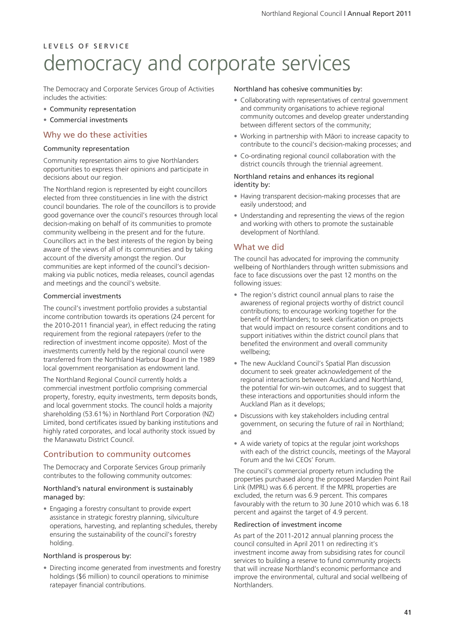# L E V E L S O F S E R V I C E democracy and corporate services

The Democracy and Corporate Services Group of Activities includes the activities:

- Community representation
- Commercial investments

#### Why we do these activities

#### Community representation

Community representation aims to give Northlanders opportunities to express their opinions and participate in decisions about our region.

The Northland region is represented by eight councillors elected from three constituencies in line with the district council boundaries. The role of the councillors is to provide good governance over the council's resources through local decision-making on behalf of its communities to promote community wellbeing in the present and for the future. Councillors act in the best interests of the region by being aware of the views of all of its communities and by taking account of the diversity amongst the region. Our communities are kept informed of the council's decisionmaking via public notices, media releases, council agendas and meetings and the council's website.

#### Commercial investments

The council's investment portfolio provides a substantial income contribution towards its operations (24 percent for the 2010-2011 financial year), in effect reducing the rating requirement from the regional ratepayers (refer to the redirection of investment income opposite). Most of the investments currently held by the regional council were transferred from the Northland Harbour Board in the 1989 local government reorganisation as endowment land.

The Northland Regional Council currently holds a commercial investment portfolio comprising commercial property, forestry, equity investments, term deposits bonds, and local government stocks. The council holds a majority shareholding (53.61%) in Northland Port Corporation (NZ) Limited, bond certificates issued by banking institutions and highly rated corporates, and local authority stock issued by the Manawatu District Council.

### Contribution to community outcomes

The Democracy and Corporate Services Group primarily contributes to the following community outcomes:

#### Northland's natural environment is sustainably managed by:

• Engaging a forestry consultant to provide expert assistance in strategic forestry planning, silviculture operations, harvesting, and replanting schedules, thereby ensuring the sustainability of the council's forestry holding.

#### Northland is prosperous by:

• Directing income generated from investments and forestry holdings (\$6 million) to council operations to minimise ratepayer financial contributions.

#### Northland has cohesive communities by:

- Collaborating with representatives of central government and community organisations to achieve regional community outcomes and develop greater understanding between different sectors of the community;
- Working in partnership with Mäori to increase capacity to contribute to the council's decision-making processes; and
- Co-ordinating regional council collaboration with the district councils through the triennial agreement.

#### Northland retains and enhances its regional identity by:

- Having transparent decision-making processes that are easily understood; and
- Understanding and representing the views of the region and working with others to promote the sustainable development of Northland.

#### What we did

The council has advocated for improving the community wellbeing of Northlanders through written submissions and face to face discussions over the past 12 months on the following issues:

- The region's district council annual plans to raise the awareness of regional projects worthy of district council contributions; to encourage working together for the benefit of Northlanders; to seek clarification on projects that would impact on resource consent conditions and to support initiatives within the district council plans that benefited the environment and overall community wellbeing;
- The new Auckland Council's Spatial Plan discussion document to seek greater acknowledgement of the regional interactions between Auckland and Northland, the potential for win-win outcomes, and to suggest that these interactions and opportunities should inform the Auckland Plan as it develops;
- Discussions with key stakeholders including central government, on securing the future of rail in Northland; and
- A wide variety of topics at the regular joint workshops with each of the district councils, meetings of the Mayoral Forum and the Iwi CEOs' Forum.

The council's commercial property return including the properties purchased along the proposed Marsden Point Rail Link (MPRL) was 6.6 percent. If the MPRL properties are excluded, the return was 6.9 percent. This compares favourably with the return to 30 June 2010 which was 6.18 percent and against the target of 4.9 percent.

#### Redirection of investment income

As part of the 2011-2012 annual planning process the council consulted in April 2011 on redirecting it's investment income away from subsidising rates for council services to building a reserve to fund community projects that will increase Northland's economic performance and improve the environmental, cultural and social wellbeing of Northlanders.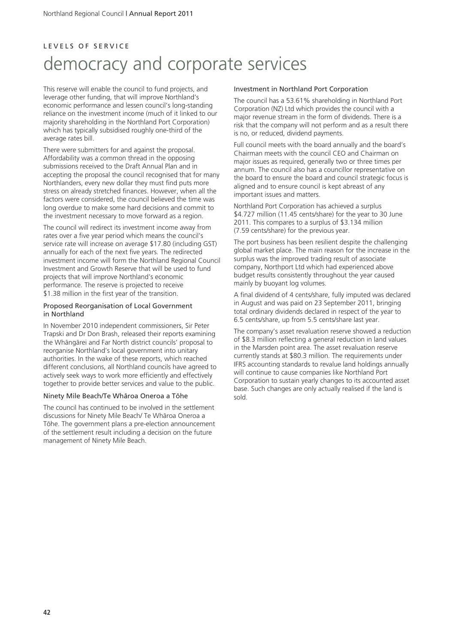#### L E V E L S O F S E R V I C E

# democracy and corporate services

This reserve will enable the council to fund projects, and leverage other funding, that will improve Northland's economic performance and lessen council's long-standing reliance on the investment income (much of it linked to our majority shareholding in the Northland Port Corporation) which has typically subsidised roughly one-third of the average rates bill.

There were submitters for and against the proposal. Affordability was a common thread in the opposing submissions received to the Draft Annual Plan and in accepting the proposal the council recognised that for many Northlanders, every new dollar they must find puts more stress on already stretched finances. However, when all the factors were considered, the council believed the time was long overdue to make some hard decisions and commit to the investment necessary to move forward as a region.

The council will redirect its investment income away from rates over a five year period which means the council's service rate will increase on average \$17.80 (including GST) annually for each of the next five years. The redirected investment income will form the Northland Regional Council Investment and Growth Reserve that will be used to fund projects that will improve Northland's economic performance. The reserve is projected to receive \$1.38 million in the first year of the transition.

#### Proposed Reorganisation of Local Government in Northland

In November 2010 independent commissioners, Sir Peter Trapski and Dr Don Brash, released their reports examining the Whängärei and Far North district councils' proposal to reorganise Northland's local government into unitary authorities. In the wake of these reports, which reached different conclusions, all Northland councils have agreed to actively seek ways to work more efficiently and effectively together to provide better services and value to the public.

#### Ninety Mile Beach/Te Whäroa Oneroa a Töhe

The council has continued to be involved in the settlement discussions for Ninety Mile Beach/ Te Whäroa Oneroa a Töhe. The government plans a pre-election announcement of the settlement result including a decision on the future management of Ninety Mile Beach.

#### Investment in Northland Port Corporation

The council has a 53.61% shareholding in Northland Port Corporation (NZ) Ltd which provides the council with a major revenue stream in the form of dividends. There is a risk that the company will not perform and as a result there is no, or reduced, dividend payments.

Full council meets with the board annually and the board's Chairman meets with the council CEO and Chairman on major issues as required, generally two or three times per annum. The council also has a councillor representative on the board to ensure the board and council strategic focus is aligned and to ensure council is kept abreast of any important issues and matters.

Northland Port Corporation has achieved a surplus \$4.727 million (11.45 cents/share) for the year to 30 June 2011. This compares to a surplus of \$3.134 million (7.59 cents/share) for the previous year.

The port business has been resilient despite the challenging global market place. The main reason for the increase in the surplus was the improved trading result of associate company, Northport Ltd which had experienced above budget results consistently throughout the year caused mainly by buoyant log volumes.

A final dividend of 4 cents/share, fully imputed was declared in August and was paid on 23 September 2011, bringing total ordinary dividends declared in respect of the year to 6.5 cents/share, up from 5.5 cents/share last year.

The company's asset revaluation reserve showed a reduction of \$8.3 million reflecting a general reduction in land values in the Marsden point area. The asset revaluation reserve currently stands at \$80.3 million. The requirements under IFRS accounting standards to revalue land holdings annually will continue to cause companies like Northland Port Corporation to sustain yearly changes to its accounted asset base. Such changes are only actually realised if the land is sold.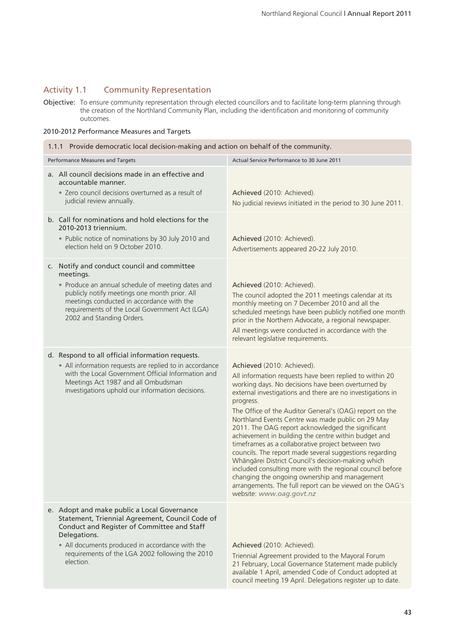### Activity 1.1 Community Representation

Objective: To ensure community representation through elected councillors and to facilitate long-term planning through the creation of the Northland Community Plan, including the identification and monitoring of community outcomes.

#### 2010-2012 Performance Measures and Targets

| 1.1.1 Provide democratic local decision-making and action on behalf of the community.                                                                                                                                                                                                      |                                                                                                                                                                                                                                                                                                                                                                                                                                                                                                                                                                                                                                                                                                                                                                                                                                 |  |  |
|--------------------------------------------------------------------------------------------------------------------------------------------------------------------------------------------------------------------------------------------------------------------------------------------|---------------------------------------------------------------------------------------------------------------------------------------------------------------------------------------------------------------------------------------------------------------------------------------------------------------------------------------------------------------------------------------------------------------------------------------------------------------------------------------------------------------------------------------------------------------------------------------------------------------------------------------------------------------------------------------------------------------------------------------------------------------------------------------------------------------------------------|--|--|
| Performance Measures and Targets                                                                                                                                                                                                                                                           | Actual Service Performance to 30 June 2011                                                                                                                                                                                                                                                                                                                                                                                                                                                                                                                                                                                                                                                                                                                                                                                      |  |  |
| a. All council decisions made in an effective and<br>accountable manner.<br>· Zero council decisions overturned as a result of<br>judicial review annually.                                                                                                                                | Achieved (2010: Achieved).<br>No judicial reviews initiated in the period to 30 June 2011.                                                                                                                                                                                                                                                                                                                                                                                                                                                                                                                                                                                                                                                                                                                                      |  |  |
| b. Call for nominations and hold elections for the<br>2010-2013 triennium.<br>• Public notice of nominations by 30 July 2010 and<br>election held on 9 October 2010.                                                                                                                       | Achieved (2010: Achieved).<br>Advertisements appeared 20-22 July 2010.                                                                                                                                                                                                                                                                                                                                                                                                                                                                                                                                                                                                                                                                                                                                                          |  |  |
| c. Notify and conduct council and committee<br>meetings.<br>• Produce an annual schedule of meeting dates and<br>publicly notify meetings one month prior. All<br>meetings conducted in accordance with the<br>requirements of the Local Government Act (LGA)<br>2002 and Standing Orders. | Achieved (2010: Achieved).<br>The council adopted the 2011 meetings calendar at its<br>monthly meeting on 7 December 2010 and all the<br>scheduled meetings have been publicly notified one month<br>prior in the Northern Advocate, a regional newspaper.<br>All meetings were conducted in accordance with the<br>relevant legislative requirements.                                                                                                                                                                                                                                                                                                                                                                                                                                                                          |  |  |
| d. Respond to all official information requests.<br>• All information requests are replied to in accordance<br>with the Local Government Official Information and<br>Meetings Act 1987 and all Ombudsman<br>investigations uphold our information decisions.                               | Achieved (2010: Achieved).<br>All information requests have been replied to within 20<br>working days. No decisions have been overturned by<br>external investigations and there are no investigations in<br>progress.<br>The Office of the Auditor General's (OAG) report on the<br>Northland Events Centre was made public on 29 May<br>2011. The OAG report acknowledged the significant<br>achievement in building the centre within budget and<br>timeframes as a collaborative project between two<br>councils. The report made several suggestions regarding<br>Whāngārei District Council's decision-making which<br>included consulting more with the regional council before<br>changing the ongoing ownership and management<br>arrangements. The full report can be viewed on the OAG's<br>website: www.oag.govt.nz |  |  |
| e. Adopt and make public a Local Governance<br>Statement, Triennial Agreement, Council Code of<br>Conduct and Register of Committee and Staff<br>Delegations.<br>• All documents produced in accordance with the<br>requirements of the LGA 2002 following the 2010<br>election.           | Achieved (2010: Achieved).<br>Triennial Agreement provided to the Mayoral Forum<br>21 February, Local Governance Statement made publicly<br>available 1 April, amended Code of Conduct adopted at<br>council meeting 19 April. Delegations register up to date.                                                                                                                                                                                                                                                                                                                                                                                                                                                                                                                                                                 |  |  |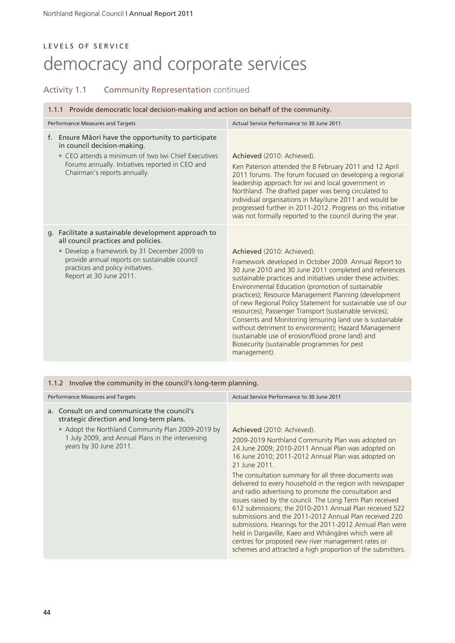# LEVELS OF SERVICE democracy and corporate services

# Activity 1.1 Community Representation continued

#### 1.1.1 Provide democratic local decision-making and action on behalf of the community.

| Performance Measures and Targets |                                                                                                                                                                                                                                                             | Actual Service Performance to 30 June 2011                                                                                                                                                                                                                                                                                                                                                                                                                                                                                                                                                                                                                                                       |
|----------------------------------|-------------------------------------------------------------------------------------------------------------------------------------------------------------------------------------------------------------------------------------------------------------|--------------------------------------------------------------------------------------------------------------------------------------------------------------------------------------------------------------------------------------------------------------------------------------------------------------------------------------------------------------------------------------------------------------------------------------------------------------------------------------------------------------------------------------------------------------------------------------------------------------------------------------------------------------------------------------------------|
| f.                               | Ensure Māori have the opportunity to participate<br>in council decision-making.<br>• CEO attends a minimum of two Iwi Chief Executives<br>Forums annually. Initiatives reported in CEO and<br>Chairman's reports annually.                                  | Achieved (2010: Achieved).<br>Ken Paterson attended the 8 February 2011 and 12 April<br>2011 forums. The forum focused on developing a regional<br>leadership approach for iwi and local government in<br>Northland. The drafted paper was being circulated to<br>individual organisations in May/June 2011 and would be<br>progressed further in 2011-2012. Progress on this initiative<br>was not formally reported to the council during the year.                                                                                                                                                                                                                                            |
|                                  | g. Facilitate a sustainable development approach to<br>all council practices and policies.<br>• Develop a framework by 31 December 2009 to<br>provide annual reports on sustainable council<br>practices and policy initiatives.<br>Report at 30 June 2011. | Achieved (2010: Achieved).<br>Framework developed in October 2009. Annual Report to<br>30 June 2010 and 30 June 2011 completed and references<br>sustainable practices and initiatives under these activities:<br>Environmental Education (promotion of sustainable<br>practices); Resource Management Planning (development<br>of new Regional Policy Statement for sustainable use of our<br>resources); Passenger Transport (sustainable services);<br>Consents and Monitoring (ensuring land use is sustainable<br>without detriment to environment); Hazard Management<br>(sustainable use of erosion/flood prone land) and<br>Biosecurity (sustainable programmes for pest<br>management). |

#### 1.1.2 Involve the community in the council's long-term planning.

| Performance Measures and Targets                                                                                                                                                                                           | Actual Service Performance to 30 June 2011                                                                                                                                                                                                                                                                                                                                                                                                                                                                                                                                                                                                                                                                                                                                                                            |
|----------------------------------------------------------------------------------------------------------------------------------------------------------------------------------------------------------------------------|-----------------------------------------------------------------------------------------------------------------------------------------------------------------------------------------------------------------------------------------------------------------------------------------------------------------------------------------------------------------------------------------------------------------------------------------------------------------------------------------------------------------------------------------------------------------------------------------------------------------------------------------------------------------------------------------------------------------------------------------------------------------------------------------------------------------------|
| a. Consult on and communicate the council's<br>strategic direction and long-term plans.<br>• Adopt the Northland Community Plan 2009-2019 by<br>1 July 2009, and Annual Plans in the intervening<br>years by 30 June 2011. | Achieved (2010: Achieved).<br>2009-2019 Northland Community Plan was adopted on<br>24 June 2009; 2010-2011 Annual Plan was adopted on<br>16 June 2010; 2011-2012 Annual Plan was adopted on<br>21 June 2011.<br>The consultation summary for all three documents was<br>delivered to every household in the region with newspaper<br>and radio advertising to promote the consultation and<br>issues raised by the council. The Long Term Plan received<br>612 submissions; the 2010-2011 Annual Plan received 522<br>submissions and the 2011-2012 Annual Plan received 220<br>submissions. Hearings for the 2011-2012 Annual Plan were<br>held in Dargaville, Kaeo and Whāngārei which were all<br>centres for proposed new river management rates or<br>schemes and attracted a high proportion of the submitters. |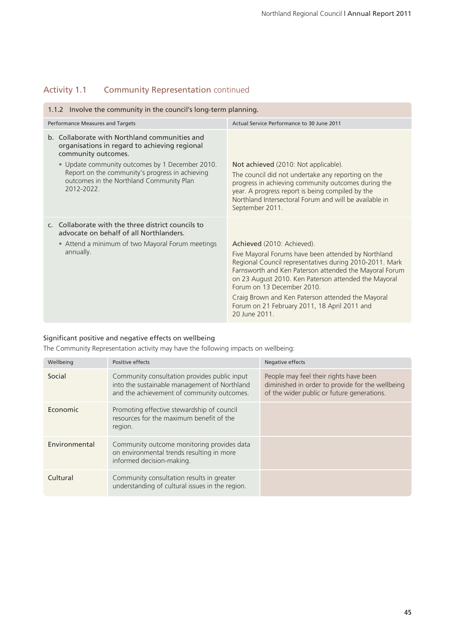# Activity 1.1 Community Representation continued

| 1.1.2 Involve the community in the council's long-term planning.                                                                                                                                                                                                                      |                                                                                                                                                                                                                                                                                                                                                                                                                  |  |  |
|---------------------------------------------------------------------------------------------------------------------------------------------------------------------------------------------------------------------------------------------------------------------------------------|------------------------------------------------------------------------------------------------------------------------------------------------------------------------------------------------------------------------------------------------------------------------------------------------------------------------------------------------------------------------------------------------------------------|--|--|
| Performance Measures and Targets                                                                                                                                                                                                                                                      | Actual Service Performance to 30 June 2011                                                                                                                                                                                                                                                                                                                                                                       |  |  |
| b. Collaborate with Northland communities and<br>organisations in regard to achieving regional<br>community outcomes.<br>• Update community outcomes by 1 December 2010.<br>Report on the community's progress in achieving<br>outcomes in the Northland Community Plan<br>2012-2022. | Not achieved (2010: Not applicable).<br>The council did not undertake any reporting on the<br>progress in achieving community outcomes during the<br>year. A progress report is being compiled by the<br>Northland Intersectoral Forum and will be available in<br>September 2011.                                                                                                                               |  |  |
| c. Collaborate with the three district councils to<br>advocate on behalf of all Northlanders.<br>• Attend a minimum of two Mayoral Forum meetings<br>annually.                                                                                                                        | Achieved (2010: Achieved).<br>Five Mayoral Forums have been attended by Northland<br>Regional Council representatives during 2010-2011. Mark<br>Farnsworth and Ken Paterson attended the Mayoral Forum<br>on 23 August 2010. Ken Paterson attended the Mayoral<br>Forum on 13 December 2010<br>Craig Brown and Ken Paterson attended the Mayoral<br>Forum on 21 February 2011, 18 April 2011 and<br>20 June 2011 |  |  |

### Significant positive and negative effects on wellbeing

The Community Representation activity may have the following impacts on wellbeing:

| Wellbeing     | Positive effects                                                                                                                           | Negative effects                                                                                                                         |
|---------------|--------------------------------------------------------------------------------------------------------------------------------------------|------------------------------------------------------------------------------------------------------------------------------------------|
| Social        | Community consultation provides public input<br>into the sustainable management of Northland<br>and the achievement of community outcomes. | People may feel their rights have been<br>diminished in order to provide for the wellbeing<br>of the wider public or future generations. |
| Economic      | Promoting effective stewardship of council<br>resources for the maximum benefit of the<br>region.                                          |                                                                                                                                          |
| Environmental | Community outcome monitoring provides data<br>on environmental trends resulting in more<br>informed decision-making.                       |                                                                                                                                          |
| Cultural      | Community consultation results in greater<br>understanding of cultural issues in the region.                                               |                                                                                                                                          |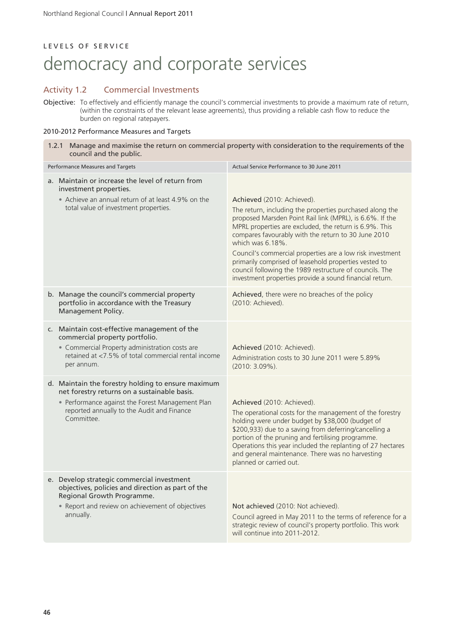### LEVELS OF SERVICE

# democracy and corporate services

### Activity 1.2 Commercial Investments

Objective: To effectively and efficiently manage the council's commercial investments to provide a maximum rate of return, (within the constraints of the relevant lease agreements), thus providing a reliable cash flow to reduce the burden on regional ratepayers.

#### 2010-2012 Performance Measures and Targets

| 1.2.1 Manage and maximise the return on commercial property with consideration to the requirements of the<br>council and the public.                                                                               |                                                                                                                                                                                                                                                                                                                                                                                                                                                                                                                                     |  |  |
|--------------------------------------------------------------------------------------------------------------------------------------------------------------------------------------------------------------------|-------------------------------------------------------------------------------------------------------------------------------------------------------------------------------------------------------------------------------------------------------------------------------------------------------------------------------------------------------------------------------------------------------------------------------------------------------------------------------------------------------------------------------------|--|--|
| Performance Measures and Targets<br>Actual Service Performance to 30 June 2011                                                                                                                                     |                                                                                                                                                                                                                                                                                                                                                                                                                                                                                                                                     |  |  |
| a. Maintain or increase the level of return from<br>investment properties.<br>• Achieve an annual return of at least 4.9% on the<br>total value of investment properties.                                          | Achieved (2010: Achieved).<br>The return, including the properties purchased along the<br>proposed Marsden Point Rail link (MPRL), is 6.6%. If the<br>MPRL properties are excluded, the return is 6.9%. This<br>compares favourably with the return to 30 June 2010<br>which was 6.18%.<br>Council's commercial properties are a low risk investment<br>primarily comprised of leasehold properties vested to<br>council following the 1989 restructure of councils. The<br>investment properties provide a sound financial return. |  |  |
| b. Manage the council's commercial property<br>portfolio in accordance with the Treasury<br>Management Policy.                                                                                                     | Achieved, there were no breaches of the policy<br>(2010: Achieved).                                                                                                                                                                                                                                                                                                                                                                                                                                                                 |  |  |
| c. Maintain cost-effective management of the<br>commercial property portfolio.<br>• Commercial Property administration costs are<br>retained at <7.5% of total commercial rental income<br>per annum.              | Achieved (2010: Achieved).<br>Administration costs to 30 June 2011 were 5.89%<br>$(2010:3.09\%).$                                                                                                                                                                                                                                                                                                                                                                                                                                   |  |  |
| d. Maintain the forestry holding to ensure maximum<br>net forestry returns on a sustainable basis.<br>• Performance against the Forest Management Plan<br>reported annually to the Audit and Finance<br>Committee. | Achieved (2010: Achieved).<br>The operational costs for the management of the forestry<br>holding were under budget by \$38,000 (budget of<br>\$200,933) due to a saving from deferring/cancelling a<br>portion of the pruning and fertilising programme.<br>Operations this year included the replanting of 27 hectares<br>and general maintenance. There was no harvesting<br>planned or carried out.                                                                                                                             |  |  |
| e. Develop strategic commercial investment<br>objectives, policies and direction as part of the<br>Regional Growth Programme.<br>• Report and review on achievement of objectives<br>annually.                     | Not achieved (2010: Not achieved).<br>Council agreed in May 2011 to the terms of reference for a<br>strategic review of council's property portfolio. This work<br>will continue into 2011-2012.                                                                                                                                                                                                                                                                                                                                    |  |  |